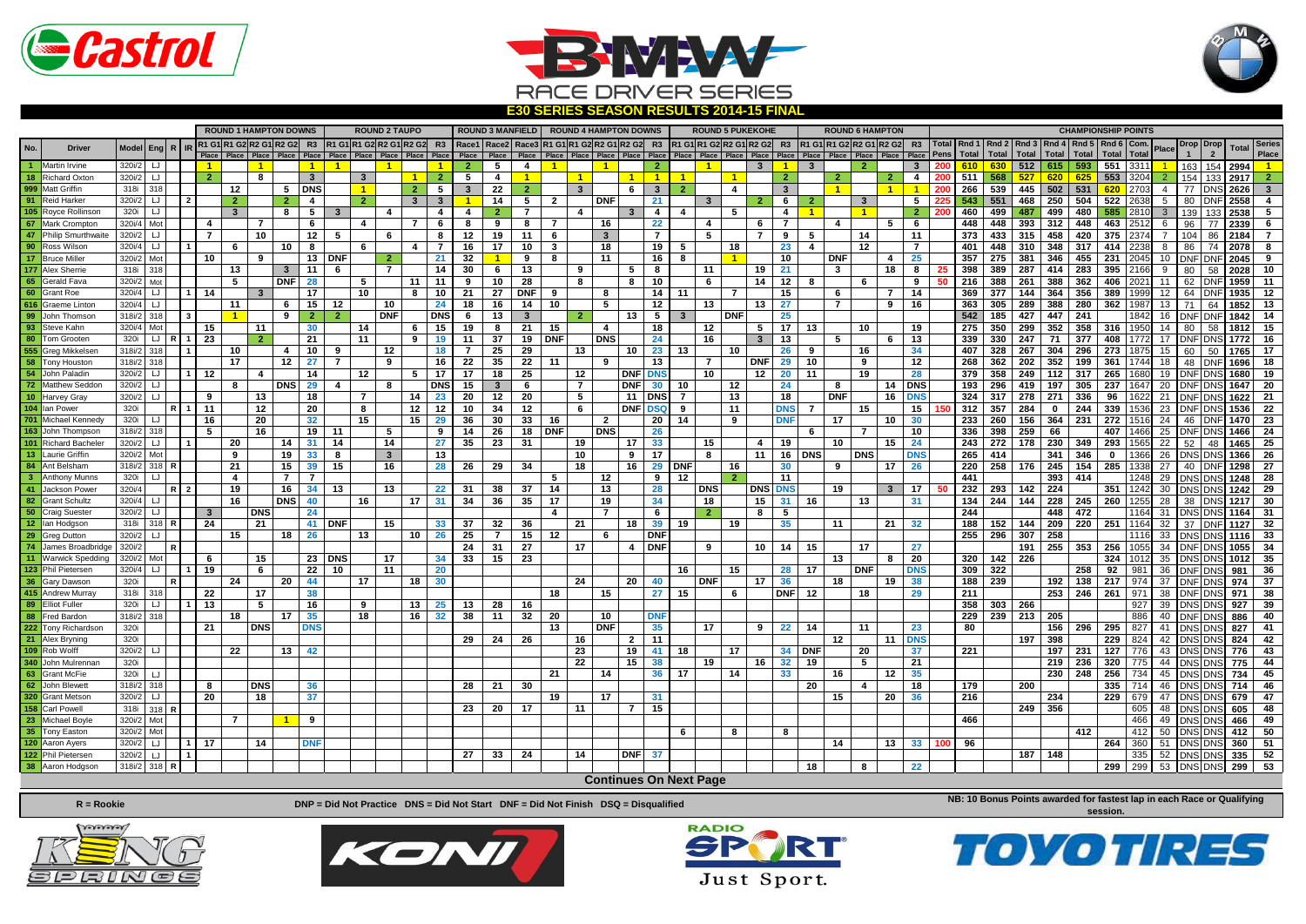





R1 G1 R1 G2 R2 G1 R2 G2 R3 R1 G1 R1 G2 R2 G1 R2 G2 R3 Race1 Race2 Race3 R1 G1 R1 G2 R2 G1 R2 G2 R3 R1 G1 R1 G2 R2 G1 R2 G2 R3 R1 G1 R1 G2 R2 G1 R2 G2 R3 **Place Place Place Place Place Place Place Place Place Place Place Place Place Place Place Place Place Place Place Place Place Place Place Place Place Place Place Place Driver <sup>R</sup> IR Total**  1 Martin Irvine | 320ü2 | LJ | | | 1 | | | 1 | 1 | | 1 | 1 | 1 | 2 | 5 | 4 | 1 | | 1 | | 2 | | 1 | 1 | 3 | 1 | 3 | | 2 | | 3 | 200 <mark>| 610 | 630 | 512 | 615 | 593 | 551 |</mark> 3311 <mark>| 1 | 163 | 154 | 2994 | 1</mark> 18 Richard Oxton 3201/2 LJ 2 8 3 3 1 2 5 4 1 1 1 1 1 1 2 2 2 2 3 4 3 3 4 5 5 5 3 3 2 4 4 4 3 4 5 5 6 6 6 6 6 6 6 6 6 7 6 6 6 7 6 6 6 7 6 6 6 7 6 7 6 7 6 7 6 7 6 7 6 7 6 7 7 7 DNS 2626 3 3 4 45 5 6 7 6 7 7 DNS 2626 3 3 4 4 999 Matt Griffin | 318| 318| | | | | 12 | | 5 | DNS| | 1 | | 2 | 5 | 3 | 22 | 2 | | 3 | | 6 | 3 | 2 | | 4 | | 3 | | 1 | 1 | 200 | 266 | 539 | 445 | 502 | 531 | <mark>620 |</mark> 2703| 4 | 77 |DNS| 2626 | 3 91 Reid Harker | 320i/2 | LJ | 2 | 2 | 2 | 4 | 2 | 3 | 3 | 1 | 14 | 5 | 2 | DNF | 21 | 3 | 25 | 6 | 2 | 6 | 2 | 6 | 2 | 6 | 2 | 5 | 225 | 543 | 551 | 468 | 250 | 504 | 522 | 2638 | 5 | 80 | DNF | 2558 | 468 | 250 | 504 | 5 105 Royce Rollinson | 320 | LJ | | | | 3 | | 8 | 5 | 3 | | 4 | | 4 | 4 | 2 | 7 | | 4 | | 3 | 4 | 4 | | 5 | | 4 | | 1 | | 1 | | 2 |200 | 460 | 499 | 487 | 499 | 487 | 499 | 585 | 2810 | 3 | 139 | 133 | 2538 | 5 **67** Mark Crompton 320i/4 Mot **4 7 6 4 7 6 8 9 8 7 16 22 4 6 7 4 5 6 448 448 393 312 448 463** 2512 6 96 77 **2339 6** 47 Philip Smurthwaite | 320i/2 | LJ | | | 7 | | 10 | | 12 | 5 | | 6 | | 8 | 12 | 19 | 11 | 6 | | 3 | | 7 | | 5 | | 7 | 9 | 5 | | 14 | | 11 | | 373 | 433 | 315 | 458 | 420 | 375 | 2374| 7 | 104 | 86 | 2184 | 7 <mark>90 Ross Wilson | 320i4 | اب | 11 | 6 | 10 | 8 | 6 | 4 | 7 | 16 | 17 | 10 | 3 | 18 | 19 | 5 | 18 | 23 | 4 | 12 | 7 | | 401 | 448 | 310 | 348 | 317 | 414 | 2238| 8 | 86 | 74 | 2078| 8</mark> 17 Bruce Miller | 320ï2 | Mot | | 10 | | 9 | | 13 | DNF | 2 | | 21 | 32 <mark>| 1</mark> | 9 | 8 | | 11 | | 16 | 8 | | <mark>11</mark> | | 10 | | DNF | 4 | 25 | | 357 | 275 | 381 | 346 | 455 | 231 | 2045 | 10 | DNF | DNF | DNF | DNF | 2045 | 9 177 |Alex Sherrie | 318i | 318**| 1 | | | 13** | | | 3 | 11 | 6 | | 7 | | 14 | 30 | 6 | 13 | | 9 | | 5 | 8 | | 11 | | 19 | 21 | | 3 | | 18 | 8 | 25 | 338 | 389 | 287 | 414 | 283 | 395 | 2166| 9 | 80 | 58 | 2028 | 10 65 |Gerald Fava | 320i/2 | мot | | | 5 | | DNF| 28 | | 5 | | 11 | 11 | 9 | 10 | 28 | |8 | 8 | 10 | | 6 | | 14 | 12 | 8 | | 6 | | 9 | 50 | 216 | 388 | 261 | 388 | 362 | 406 | 2021| 11 | 62 |DNF|1959| 11 <mark>60 Grant Roe |320й4|∪||11|14|| 3 || 17|</mark> |10 || 8 |10||21 ||27 ||DNF||9 || 8 || ||14||11 || 7 || |15|| ||6 || 7 ||14|| ||369||377 |144||364||356||389||399||12||64||DNF||1935||12 <mark>616 Graeme Linton | 320i4 | ⊔ | | | | | | | 6 | 15 | 12 | | 10 | | 24 | 18 | 16 | 14 | 10 | | 5 | | 12 | | 13 | 27 | | 7 | 9 | 16 | | 363 | 305 | 289 | 388 | 289 | 388 | 289 | 387 | 13 | 71 | 64 | 1852 | 13</mark> 99 John Thomson | 318i2 | 318 | 1 | 9 | 2 | 2 | DNF | DNS | 6 | 13 | 3 | 2 | 13 | 5 | 3 | DNF | 25 | | | | | | | 542 | 185 | 427 | 447 | 241 | | 1842 | 16 | DNF | DNF | 1842 | 16 | DNF | 1842 | 16 | DNF | DNF | 1842 | 16 | 93 Steve Kahn | 320i4 | Mot | | 15 | | 11 | | 30 | | 14 | | 6 | 15 | 19 | 8 | 21 | 15 | | 4 | | 18 | | 12 | | 5 | 17 | 13 | | 10 | | 19 | | 275 | 350 | 299 | 352 | 358 | 316 | 1950 | 14 | 80 | 58 | 1812 | 15 **80** Tom Grooten 320i LJ **R 1 23 2 21 11 9 19 11 37 19 DNF DNS 24 16 3 13 5 6 13 339 330 247 71 377 408** 1772 17 DNF DNS **1772 16** 555 |Greg Mikkelsen |318i/2 |318 | 11 | 10 | 14 | 10 | 9 | | 12 | | 18 | 7 | 25 | 29 | | 13 | | 10 | 23 | 13 | | 10 | 26 | 9 | | 16 | | 34 | | 407 | 328 | 267 | 304 | 296 | 273 |1875 | 15 | 60 | 50 | 1765 | 17 58 Tony Houston | 318i2 | 318 | | | | 17 | | 12 | 27 | 7 | | 9 | | 16 | 22 | 35 | 22 | 11 | | 9 | | 13 | | 7 | | DNF | 29 | 10 | | 9 | | 12 | | 268 | 362 | 202 | 352 | 199 | 361 | 1744 | 18 | 08 | 1696 | 18 54 John Paladin | 320i/2 | ⊔ | 1| 12 | | 4 | | 14 | 12 | 5 | 17 | 17 | 18 | 25 | | 12 | DNF | DNS | 10 | 12 | 20 | 11 | | 19 | 28 | | 379 | 358 | 249 | 112 | 317 | 265 | 1680 | 19 | DNF | DNS | 1680 | 19 | DNF | DNS | 1680 72 Matthew Seddon | 320i2| LJ | | | 8 | DNS| 29 | 4 | 8 | DNS| 15 | 3 | 6 | | 7 | DNF| 30 | 10 | | 12 | | 24 | 8 | | 14 | DNS| | 193 | 296 | 419 | 197 | 305 | 237 | 1647 | 20 |DNF|DNS| 1647 | 20 10 Harvey Gray | 320i/2 | LJ | | | 9 | | | 13 | | 18 | | 7 | | | 14 | 23 | 20 | 12 | 20 | | 5 | | 11 | DNS| 7 | | 13 | | | 18 | DNF| | 16 | DNS| | 324 | 317 | 278 | 271 | 336 | 96 | 1622| 21 |DNF|DNS| 1622| 21 104 |lan Power | 320 | | R | 1 | 11 | 12 | 12 | 12 | 12 | 10 | 34 | 12 | 6 | DNF | DSQ | 9 | 11 | DNS | 7 | 15 | 150 | 312 | 357 | 284 | 0 | 244 | 339 |1536 | 23 |DNF|DNS| 1536 | 22 **701** Michael Kennedy 320i LJ **16 20 32 15 15 29 36 30 33 16 2 20 14 9 DNF 17 10 30 233 260 156 364 231 272** 1516 24 46 DNF **1470 23** 163 |John Thompson | 318i/2 | 318 | | | 5 | | 16 | | 19 | 11 | | 5 | | 9 | 14 | 26 | 18 | DNF | DNS | | 26 | | | | | | | | 6 | | 7 | | 10 | | 336 | 398 | 259 | 66 | | 407 | 1466 | 25 | DNF| DNS | 1466 | 25 101 Richard Bacheler | 320i/2 | ⊔ | 1 | 20 | | 14 | 31 | 14 | | 14 | | 27 | 35 | 23 | 31 | | 19 | 17 | 33 | | 15 | 4 | 19 | | 10 | | 15 | 24 | | 243 | 272 | 178 | 230 | 349 | 293 | 1565 | 22 | 52 | 48 | 1465 | 25 13 Laurie Griffin | 320i/2 | Mot | | | 9 | 19 | 33 | 8 | 3 | 13 | | | | | | | | | | 9 | 17 | | 8 | | | 11 | 16 | DNS | | DNS | | DNS | | 265 | 414 | | 341 | 346 | 0 | 1366 | 26 | DNS |DNS | 1366 | 26 |DNS | 1366 | 26 | DNS 84 AntBelsham |318i2 |318 R | | 21 | | 15 | 39 | 15 | 16 | | 28 | 26 | 29 | 34 | | 18 | | 16 | 29 | DNF | 16 | | 30 | | 9 | | 17 | 26 | | 220 | 258 | 176 | 245 | 154 | 285 | 1338 | 27 | 40 |DNF | 1298 | 27 **3** Anthony Munns 320i LJ **4 7 7 5 12 9 12 2 11 441 393 414** 1248 29 DNS DNS **1248 28** 41 Jackson Power | 320i4 | R | 2 | 19 | 16 | 34 | 13 | 13 | 22 | 31 | 38 | 37 | 14 | 13 | 28 | DNS | DNS | DNS | DNS | 19 | 3 | 17 | 50 | 232 | 293 | 142 | 224 | | 351 | 1242 | 30 | DNS| DNS| 1242 | 29 82 Grant Schultz 32014 LJ 16 DNS 40 16 17 31 34 36 35 17 19 34 18 15 31 16 13 31 14 244 144 228 245 260 1255 28 38 DNS 1217 30<br>50 Craig Suester 320i/2 LJ 3 DNS 24 10 24 16 17 31 34 36 35 17 19 34 18 15 31 16 13 31 18 34 4 **50** Craig Suester 320i/2 LJ **3 DNS 24 4 7 6 2 8 5 244 448 472** 1164 31 DNS DNS **1164 31** 12 |lan Hodgson | 318i | 318 | R | 24 | 21 | 21 | 41 | DNF | 15 | 33 | 37 | 32 | 36 | 21 | 18 | 39 | 19 | 19 | 35 | 11 | 21 | 32 | 188 | 152 | 144 | 209 | 251 | 1164 | 32 | 37 | DNF | 1127 | 32 **29** Greg Dutton 320i/2 LJ **15 18 26 13 10 26 25 7 15 12 6 DNF 255 296 307 258** 1116 33 DNS DNS **1116 33 74** James Broadbridge 320i/2 **R 24 31 27 17 4 DNF 9 10 14 15 17 27 191 255 353 256** 1055 34 DNF DNS **1055 34 11** Warwick Spedding 320i/2 Mot **6 15 23 DNS 17 34 33 15 23 13 8 20 320 142 226 324** 1012 35 DNS DNS **1012 35** 123 PhilPietersen |320i4|⊔||1|19 | 6 | 22 |10 | |11 | 20 | | | | | | | | | 16 | |15 | 28 |17 | DNF | DNS | 309 |322 | | |258 |92 |981 |36 |DNF|DNS| 981 |36 **36** Gary Dawson 320i **R 24 20 44 17 18 30 24 20 40 DNF 17 36 18 19 38 188 239 192 138 217** 974 37 DNF DNS **974 37 415** Andrew Murray 318i 318 **22 17 38 18 15 27 15 6 DNF 12 18 29 211 253 246 261** 971 38 DNF DNS **971 38 89** Elliot Fuller 320i LJ **1 13 5 16 9 13 25 13 28 16 358 303 266** 927 39 DNS DNS **927 39 88** Fred Bardon 318i/2 318 **18 17 35 18 16 32 38 11 32 20 10 DNF 229 239 213 205** 886 40 DNF DNS **886 40** 222 Tony Richardson | 320i | | | 21 | | DNS | | DNS | | | | | | | | | 13 | | DNF | | 35 | | 17 | | 9 | 22 | 14 | | 11 | | | 23 | | 80 | | | | 156 | 296 | 295 | 827 | 41 | DNS| DNS| 827 | 41 **21** Alex Bryning 320i **29 24 26 16 2 11 12 11 DNS 197 398 229** 824 42 DNS DNS **824 42** 109 Rob Wolff |320i/2 | ⊔ | | | | 22 | |13 |42 | | | | | | | | | | | 23 | |19 |41 |18 | |17 | |34 |DNF | |20 | |37 | |221 | | |197 |231 |127 |776 |43 |DNS|DNS|776 |43 **340** John Mulrennan 320i **22 15 38 19 16 32 19 5 21 219 236 320** 775 44 DNS DNS **775 44 63** Grant McFie 320i LJ **21 14 36 17 14 33 16 12 35 230 248 256** 734 45 DNS DNS **734 45 62** John Blewett 318i/2 318 **8 DNS 36 28 21 30 20 4 18 179 200 335** 714 46 DNS DNS **714 46 320** Grant Metson 320i/2 LJ **20 18 37 19 17 31 15 20 36 216 234 229** 679 47 DNS DNS **679 47 158** Carl Powell 318i 318 **R 23 20 17 11 7 15 249 356** 605 48 DNS DNS **605 48 23** Michael Boyle 320i/2 Mot **7 1 9 466** 466 49 DNS DNS **466 49 35** Tony Easton 320i/2 Mot **6 8 8 412** 412 50 DNS DNS **412 50 120** Aaron Ayers 320i/2 LJ **1 17 14 DNF 14 13 33 100 96 264** 360 51 DNS DNS **360 51 122** Phil Pietersen 320i/2 LJ **1 27 33 24 14 DNF 37 187 148** 335 52 DNS DNS **335 52 38** Aaron Hodgson 318i/2 318 **R 18 8 22 299** 299 53 DNS DNS **299 53 ROUND 1 HAMPTON DOWNS ROUND 2 TAUPO ROUND 3 MANFIELD ROUND 4 HAMPTON DOWNS ROUND 5 PUKEKOHE ROUND 6 HAMPTON Rnd 3 Rnd 2 Rnd 5 Rnd 4 Com. Total Total Total Total Total Total CHAMPIONSHIP POINTS** No. | Driver | Model Eng R | R <mark>R1 G1 R1 G2 R2 G1 R2 G2 R3 R1 G1 R1 G2 R2 G1 R2 G2 R3 Race1 Race2 Race3 R1 G1 R1 G2 R2 G1 R2 G2 R3 R1 G1 R1 G2 R2 G1 R2 G2 R3 R1 G1 R1 G2 R2 G1 R2 G2 R3 R1 G1 R1 G2 R2 G1 R2 G2 R3 R1 G1 R1 G</mark> **1 Drop 2 Drop Total Pens Rnd 1**  Model Eng R | R R1 G1 R1 G1 R1 G2 R2 G1 R2 G2 R3 R1 G1 R1 G2 R2 G2 R3 Race1 Race2 Race3 R1 G1 R1 G2 R2 G1 R2 G2 R3 R1 G1 R1 G2 R2 G1 R2 G2 R3 R1 G1 R1 G2 R2 G1 R2 G2 R3 R1 G1 R1 G2 R2 G1 R2 G2 R3 R1 G1 R1 G2 R2 G1 R2 G2 R3 **Place Place Total Eng**

**R = Rookie**

**DNP = Did Not Practice DNS = Did Not Start DNF = Did Not Finish DSQ = Disqualified**

 **Continues On Next Page**

**NB: 10 Bonus Points awarded for fastest lap in each Race or Qualifying session.**